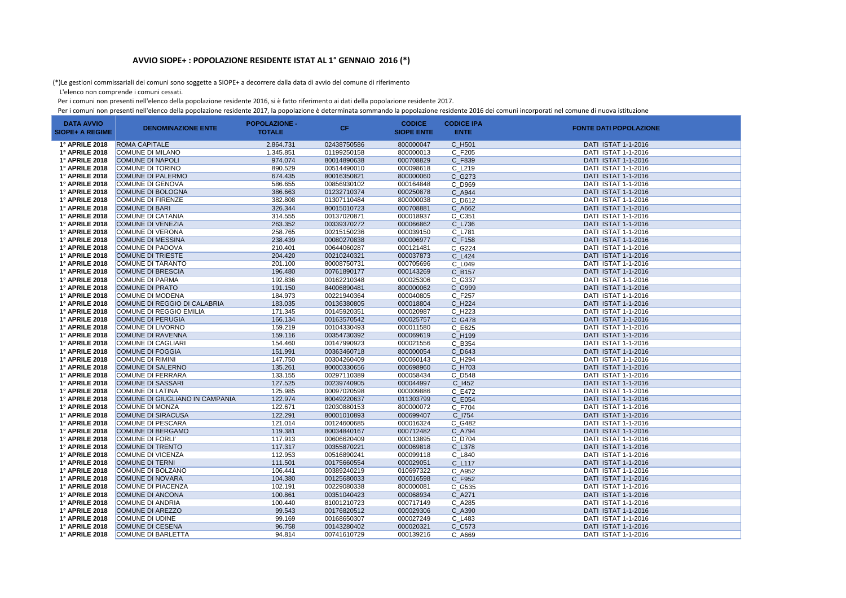(\*)Le gestioni commissariali dei comuni sono soggette a SIOPE+ a decorrere dalla data di avvio del comune di riferimento L'elenco non comprende i comuni cessati.

Per i comuni non presenti nell'elenco della popolazione residente 2016, si è fatto riferimento ai dati della popolazione residente 2017.

Per i comuni non presenti nell'elenco della popolazione residente 2017, la popolazione è determinata sommando la popolazione residente 2016 dei comuni incorporati nel comune

| <b>DATA AVVIO</b><br><b>SIOPE+ A REGIME</b> | <b>DENOMINAZIONE ENTE</b>       | POPOLAZIONE -<br><b>TOTALE</b> | <b>CF</b>   | <b>CODICE</b><br><b>SIOPE ENTE</b> | <b>CODICE IPA</b><br><b>ENTE</b> | <b>FONTE DATI POPOLAZIONE</b> |
|---------------------------------------------|---------------------------------|--------------------------------|-------------|------------------------------------|----------------------------------|-------------------------------|
| 1° APRILE 2018                              | <b>ROMA CAPITALE</b>            | 2.864.731                      | 02438750586 | 800000047                          | C H501                           | DATI ISTAT 1-1-2016           |
| 1° APRILE 2018                              | COMUNE DI MILANO                | 1.345.851                      | 01199250158 | 800000013                          | C_F205                           | DATI ISTAT 1-1-2016           |
| 1° APRILE 2018                              | <b>COMUNE DI NAPOLI</b>         | 974.074                        | 80014890638 | 000708829                          | C_F839                           | DATI ISTAT 1-1-2016           |
| 1° APRILE 2018                              | COMUNE DI TORINO                | 890.529                        | 00514490010 | 000098618                          | C_L219                           | DATI ISTAT 1-1-2016           |
| 1° APRILE 2018                              | <b>COMUNE DI PALERMO</b>        | 674.435                        | 80016350821 | 800000060                          | C_G273                           | DATI ISTAT 1-1-2016           |
| 1° APRILE 2018                              | COMUNE DI GENOVA                | 586.655                        | 00856930102 | 000164848                          | C_D969                           | DATI ISTAT 1-1-2016           |
| 1° APRILE 2018                              | <b>COMUNE DI BOLOGNA</b>        | 386.663                        | 01232710374 | 000250878                          | C_A944                           | DATI ISTAT 1-1-2016           |
| 1° APRILE 2018                              | <b>COMUNE DI FIRENZE</b>        | 382.808                        | 01307110484 | 800000038                          | C_D612                           | DATI ISTAT 1-1-2016           |
| 1° APRILE 2018                              | <b>COMUNE DI BARI</b>           | 326.344                        | 80015010723 | 000708881                          | C_A662                           | DATI ISTAT 1-1-2016           |
| 1° APRILE 2018                              | COMUNE DI CATANIA               | 314.555                        | 00137020871 | 000018937                          | C_C351                           | DATI ISTAT 1-1-2016           |
| 1° APRILE 2018                              | COMUNE DI VENEZIA               | 263.352                        | 00339370272 | 000066862                          | C_L736                           | DATI ISTAT 1-1-2016           |
| 1° APRILE 2018                              | COMUNE DI VERONA                | 258.765                        | 00215150236 | 000039150                          | C_L781                           | DATI ISTAT 1-1-2016           |
| 1° APRILE 2018                              | <b>COMUNE DI MESSINA</b>        | 238.439                        | 00080270838 | 000006977                          | C_F158                           | DATI ISTAT 1-1-2016           |
| 1° APRILE 2018                              | COMUNE DI PADOVA                | 210.401                        | 00644060287 | 000121481                          | C_G224                           | DATI ISTAT 1-1-2016           |
| 1° APRILE 2018                              | <b>COMUNE DI TRIESTE</b>        | 204.420                        | 00210240321 | 000037873                          | C_L424                           | DATI ISTAT 1-1-2016           |
| 1° APRILE 2018                              | <b>COMUNE DI TARANTO</b>        | 201.100                        | 80008750731 | 000705696                          | C_L049                           | DATI ISTAT 1-1-2016           |
| 1° APRILE 2018                              | <b>COMUNE DI BRESCIA</b>        | 196.480                        | 00761890177 | 000143269                          | C_B157                           | DATI ISTAT 1-1-2016           |
| 1° APRILE 2018                              | COMUNE DI PARMA                 | 192.836                        | 00162210348 | 000025306                          | C_G337                           | DATI ISTAT 1-1-2016           |
| 1° APRILE 2018                              | COMUNE DI PRATO                 | 191.150                        | 84006890481 | 800000062                          | C_G999                           | DATI ISTAT 1-1-2016           |
| 1° APRILE 2018                              | <b>COMUNE DI MODENA</b>         | 184.973                        | 00221940364 | 000040805                          | C_F257                           | DATI ISTAT 1-1-2016           |
| 1° APRILE 2018                              | COMUNE DI REGGIO DI CALABRIA    | 183.035                        | 00136380805 | 000018804                          | C_H224                           | DATI ISTAT 1-1-2016           |
| 1° APRILE 2018                              | <b>COMUNE DI REGGIO EMILIA</b>  | 171.345                        | 00145920351 | 000020987                          | C_H223                           | DATI ISTAT 1-1-2016           |
| 1° APRILE 2018                              | <b>COMUNE DI PERUGIA</b>        | 166.134                        | 00163570542 | 000025757                          | C_G478                           | DATI ISTAT 1-1-2016           |
| 1° APRILE 2018                              | <b>COMUNE DI LIVORNO</b>        | 159.219                        | 00104330493 | 000011580                          | C_E625                           | DATI ISTAT 1-1-2016           |
| 1° APRILE 2018                              | COMUNE DI RAVENNA               | 159.116                        | 00354730392 | 000069619                          | C_H199                           | DATI ISTAT 1-1-2016           |
| 1° APRILE 2018                              | <b>COMUNE DI CAGLIARI</b>       | 154.460                        | 00147990923 | 000021556                          | C_B354                           | DATI ISTAT 1-1-2016           |
| 1° APRILE 2018                              | <b>COMUNE DI FOGGIA</b>         | 151.991                        | 00363460718 | 800000054                          | C_D643                           | DATI ISTAT 1-1-2016           |
| 1° APRILE 2018                              | COMUNE DI RIMINI                | 147.750                        | 00304260409 | 000060143                          | C_H294                           | DATI ISTAT 1-1-2016           |
| 1° APRILE 2018                              | COMUNE DI SALERNO               | 135.261                        | 80000330656 | 000698960                          | C_H703                           | DATI ISTAT 1-1-2016           |
| 1° APRILE 2018                              | COMUNE DI FERRARA               | 133.155                        | 00297110389 | 000058434                          | C_D548                           | DATI ISTAT 1-1-2016           |
| 1° APRILE 2018                              | <b>COMUNE DI SASSARI</b>        | 127.525                        | 00239740905 | 000044997                          | $C$  452                         | DATI ISTAT 1-1-2016           |
| 1° APRILE 2018                              | COMUNE DI LATINA                | 125.985                        | 00097020598 | 000009886                          | C_E472                           | DATI ISTAT 1-1-2016           |
| 1° APRILE 2018                              | COMUNE DI GIUGLIANO IN CAMPANIA | 122.974                        | 80049220637 | 011303799                          | C_E054                           | DATI ISTAT 1-1-2016           |
|                                             | 1° APRILE 2018 COMUNE DI MONZA  | 122.671                        | 02030880153 | 800000072                          | C_F704                           | DATI ISTAT 1-1-2016           |
| $1^\circ$ APRILE 2018                       | <b>COMUNE DI SIRACUSA</b>       | 122.291                        | 80001010893 | 000699407                          | C_I754                           | DATI ISTAT 1-1-2016           |
| 1° APRILE 2018                              | COMUNE DI PESCARA               | 121.014                        | 00124600685 | 000016324                          | C_G482                           | DATI ISTAT 1-1-2016           |
| <b>1° APRILE 2018</b>                       | <b>COMUNE DI BERGAMO</b>        | 119.381                        | 80034840167 | 000712482                          | C_A794                           | DATI ISTAT 1-1-2016           |
| <b>1° APRILE 2018</b>                       | COMUNE DI FORLI'                | 117.913                        | 00606620409 | 000113895                          | C_D704                           | DATI ISTAT 1-1-2016           |
| <b>1° APRILE 2018</b>                       | COMUNE DI TRENTO                | 117.317                        | 00355870221 | 000069818                          | C_L378                           | DATI ISTAT 1-1-2016           |
| <b>1° APRILE 2018</b>                       | COMUNE DI VICENZA               | 112.953                        | 00516890241 | 000099118                          | C_L840                           | DATI ISTAT 1-1-2016           |
| 1° APRILE 2018                              | <b>COMUNE DI TERNI</b>          | 111.501                        | 00175660554 | 000029051                          | $C_L$ 117                        | DATI ISTAT 1-1-2016           |
| 1° APRILE 2018                              | COMUNE DI BOLZANO               | 106.441                        | 00389240219 | 010697322                          | C_A952                           | DATI ISTAT 1-1-2016           |
| 1° APRILE 2018                              | <b>COMUNE DI NOVARA</b>         | 104.380                        | 00125680033 | 000016598                          | C_F952                           | DATI ISTAT 1-1-2016           |
| 1° APRILE 2018                              | COMUNE DI PIACENZA              | 102.191                        | 00229080338 | 800000081                          | C_G535                           | DATI ISTAT 1-1-2016           |
| 1° APRILE 2018                              | <b>COMUNE DI ANCONA</b>         | 100.861                        | 00351040423 | 000068934                          | C_A271                           | DATI ISTAT 1-1-2016           |
| 1° APRILE 2018                              | COMUNE DI ANDRIA                | 100.440                        | 81001210723 | 000717149                          | C_A285                           | DATI ISTAT 1-1-2016           |
| <b>1° APRILE 2018</b>                       | COMUNE DI AREZZO                | 99.543                         | 00176820512 | 000029306                          | C_A390                           | DATI ISTAT 1-1-2016           |
| 1° APRILE 2018                              | <b>COMUNE DI UDINE</b>          | 99.169                         | 00168650307 | 000027249                          | C_L483                           | DATI ISTAT 1-1-2016           |
| <b>1° APRILE 2018</b>                       | <b>COMUNE DI CESENA</b>         | 96.758                         | 00143280402 | 000020321                          | C_C573                           | DATI ISTAT 1-1-2016           |
| <b>1° APRILE 2018</b>                       | COMUNE DI BARLETTA              | 94.814                         | 00741610729 | 000139216                          | C_A669                           | DATI ISTAT 1-1-2016           |

|  | e di nuova istituzione |  |
|--|------------------------|--|
|  |                        |  |

## **AVVIO SIOPE+ : POPOLAZIONE RESIDENTE ISTAT AL 1° GENNAIO 2016 (\*)**